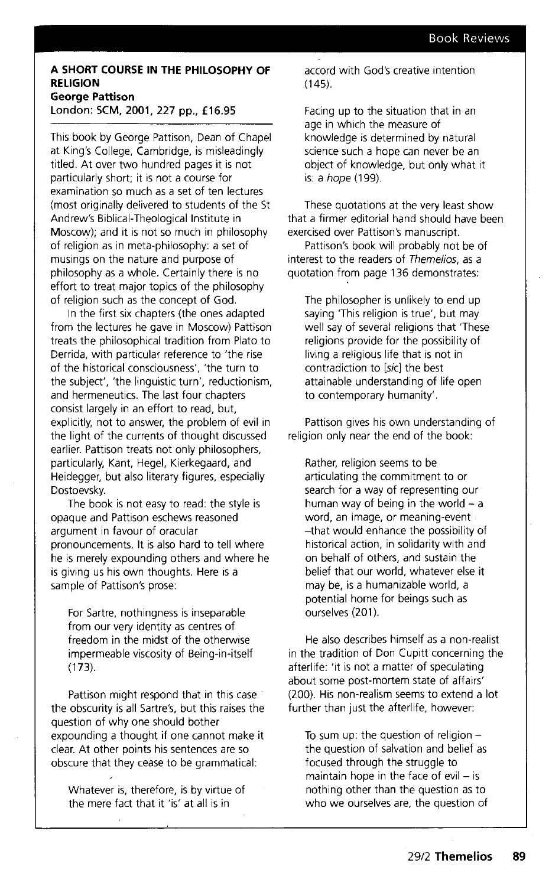## **A SHORT COURSE IN THE PHILOSOPHY OF RELIGION George Pattison**

**London: SCM, 2001, 227 pp., £16.95** 

This book by George Pattison, Dean of Chapel at King's College, Cambridge, is misleadingly titled. At over two hundred pages it is not particularly short; it is not a course for examination so much as a set of ten lectures (most originally delivered to students of the St Andrew's Biblical-Theological Institute in Moscow); and it is not so much in philosophy of religion as in meta-philosophy: a set of musings on the nature and purpose of philosophy as a whole. Certainly there is no effort to treat major topics of the philosophy of religion such as the concept of God.

In the first six chapters (the ones adapted from the lectures he gave in Moscow) Pattison treats the philosophical tradition from Plato to Derrida, with particular reference to 'the rise of the historical consciousness', 'the turn to the subject', 'the linguistic turn', reductionism, and hermeneutics. The last four chapters consist largely in an effort to read, but, explicitly, not to answer, the problem of evil in the light of the currents of thought discussed earlier. Pattison treats not only philosophers, particularly, Kant, Hegel, Kierkegaard, and Heidegger, but also literary figures, especially Dostoevsky.

The book is not easy to read: the style is opaque and Pattison eschews reasoned argument in favour of oracular pronouncements. It is also hard to tell where he is merely expounding others and where he is giving us his own thoughts. Here is a sample of Pattison's prose:

For Sartre, nothingness is inseparable from our very identity as centres of freedom in the midst of the otherwise impermeable viscosity of Being-in-itself (173).

Pattison might respond that in this case the obscurity is all Sartre's, but this raises the question of why one should bother expounding a thought if one cannot make it clear. At other points his sentences are so obscure that they cease to be grammatical:

Whatever is, therefore, is by virtue of the mere fact that it 'is' at all is in

accord with God's creative intention  $(145)$ 

Facing up to the situation that in an age in which the measure of knowledge is determined by natural science such a hope can never be an object of knowledge, but only what it is: a hope (199).

These quotations at the very least show that a firmer editorial hand should have been exercised over Pattison's manuscript.

Pattison's book will probably not be of interest to the readers of Themelios, as a quotation from page 136 demonstrates:

The philosopher is unlikely to end up saying 'This religion is true', but may well say of several religions that 'These religions provide for the possibility of living a religious life that is not in contradiction to [sic] the best attainable understanding of life open to contemporary humanity'.

Pattison gives his own understanding of religion only near the end of the book:

Rather, religion seems to be articulating the commitment to or search for a way of representing our human way of being in the world  $- a$ word, an image, or meaning-event -that would enhance the possibility of historical action, in solidarity with and on behalf of others, and sustain the belief that our world, whatever else it may be, is a humanizable world, a potential home for beings such as ourselves (201).

He also describes himself as a non-realist in the tradition of Don Cupitt concerning the afterlife: 'it is not a matter of speculating about some post-mortem state of affairs' (200). His non-realism seems to extend a lot further than just the afterlife, however:

To sum up: the question of religion  $$ the question of salvation and belief as focused through the struggle to maintain hope in the face of evil  $-$  is nothing other than the question as to who we ourselves are. the question of